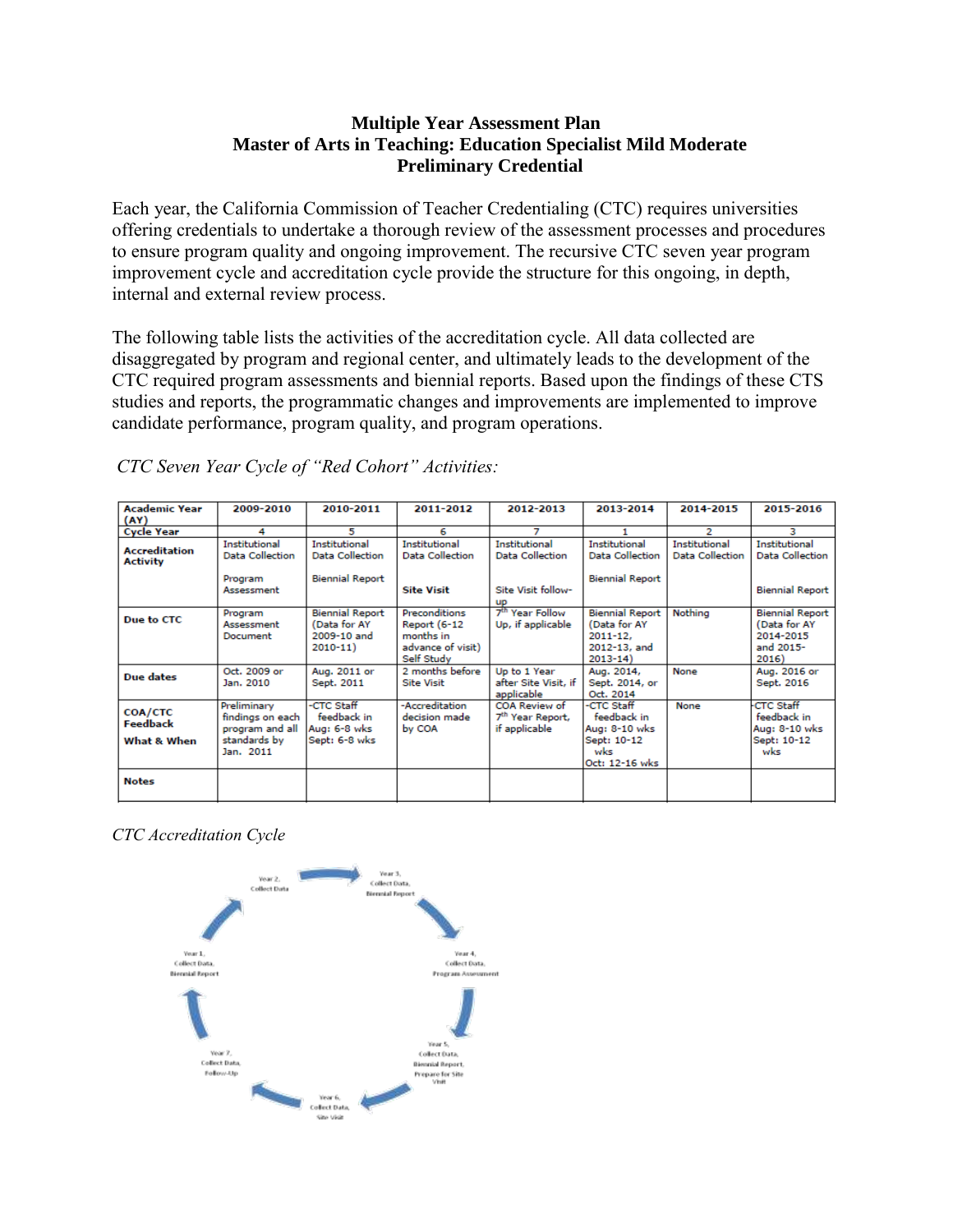## **Multiple Year Assessment Plan Master of Arts in Teaching: Education Specialist Mild Moderate Preliminary Credential**

Each year, the California Commission of Teacher Credentialing (CTC) requires universities offering credentials to undertake a thorough review of the assessment processes and procedures to ensure program quality and ongoing improvement. The recursive CTC seven year program improvement cycle and accreditation cycle provide the structure for this ongoing, in depth, internal and external review process.

The following table lists the activities of the accreditation cycle. All data collected are disaggregated by program and regional center, and ultimately leads to the development of the CTC required program assessments and biennial reports. Based upon the findings of these CTS studies and reports, the programmatic changes and improvements are implemented to improve candidate performance, program quality, and program operations.

| <b>Academic Year</b><br>(AY)              | 2009-2010                                                                       | 2010-2011                                                             | 2011-2012                                                                                   | 2012-2013                                                      | 2013-2014                                                                             | 2014-2015                               | 2015-2016                                                                 |
|-------------------------------------------|---------------------------------------------------------------------------------|-----------------------------------------------------------------------|---------------------------------------------------------------------------------------------|----------------------------------------------------------------|---------------------------------------------------------------------------------------|-----------------------------------------|---------------------------------------------------------------------------|
| <b>Cycle Year</b>                         | 4                                                                               | 5                                                                     | 6                                                                                           |                                                                |                                                                                       | 2                                       | з                                                                         |
| <b>Accreditation</b><br><b>Activity</b>   | Institutional<br><b>Data Collection</b>                                         | Institutional<br><b>Data Collection</b>                               | Institutional<br><b>Data Collection</b>                                                     | Institutional<br>Data Collection                               | Institutional<br><b>Data Collection</b>                                               | Institutional<br><b>Data Collection</b> | Institutional<br><b>Data Collection</b>                                   |
|                                           | Program<br>Assessment                                                           | <b>Biennial Report</b>                                                | <b>Site Visit</b>                                                                           | Site Visit follow-<br><b>UD</b>                                | <b>Biennial Report</b>                                                                |                                         | <b>Biennial Report</b>                                                    |
| Due to CTC                                | Program<br>Assessment<br>Document                                               | <b>Biennial Report</b><br>(Data for AY<br>2009-10 and<br>$2010 - 11)$ | <b>Preconditions</b><br><b>Report (6-12</b><br>months in<br>advance of visit)<br>Self Study | 7 <sup>th</sup> Year Follow<br>Up, if applicable               | <b>Biennial Report</b><br>(Data for AY<br>$2011 - 12.$<br>2012-13, and<br>$2013 - 14$ | Nothina                                 | <b>Biennial Report</b><br>(Data for AY<br>2014-2015<br>and 2015-<br>2016) |
| Due dates                                 | Oct. 2009 or<br>Jan. 2010                                                       | Aug. 2011 or<br>Sept. 2011                                            | 2 months before<br><b>Site Visit</b>                                                        | Up to 1 Year<br>after Site Visit, if<br>applicable             | Aug. 2014,<br>Sept. 2014, or<br>Oct. 2014                                             | None                                    | Aug. 2016 or<br>Sept. 2016                                                |
| <b>COA/CTC</b><br>Feedback<br>What & When | Preliminary<br>findings on each<br>program and all<br>standards by<br>Jan. 2011 | -CTC Staff<br>feedback in<br>Aug: 6-8 wks<br>Sept: 6-8 wks            | -Accreditation<br>decision made<br>by COA                                                   | COA Review of<br>7 <sup>th</sup> Year Report,<br>if applicable | -CTC Staff<br>feedback in<br>Aug: 8-10 wks<br>Sept: 10-12<br>wks<br>Oct: 12-16 wks    | None                                    | <b>CTC Staff</b><br>feedback in<br>Aug: 8-10 wks<br>Sept: 10-12<br>wks    |
| <b>Notes</b>                              |                                                                                 |                                                                       |                                                                                             |                                                                |                                                                                       |                                         |                                                                           |

*CTC Seven Year Cycle of "Red Cohort" Activities:*

*CTC Accreditation Cycle*

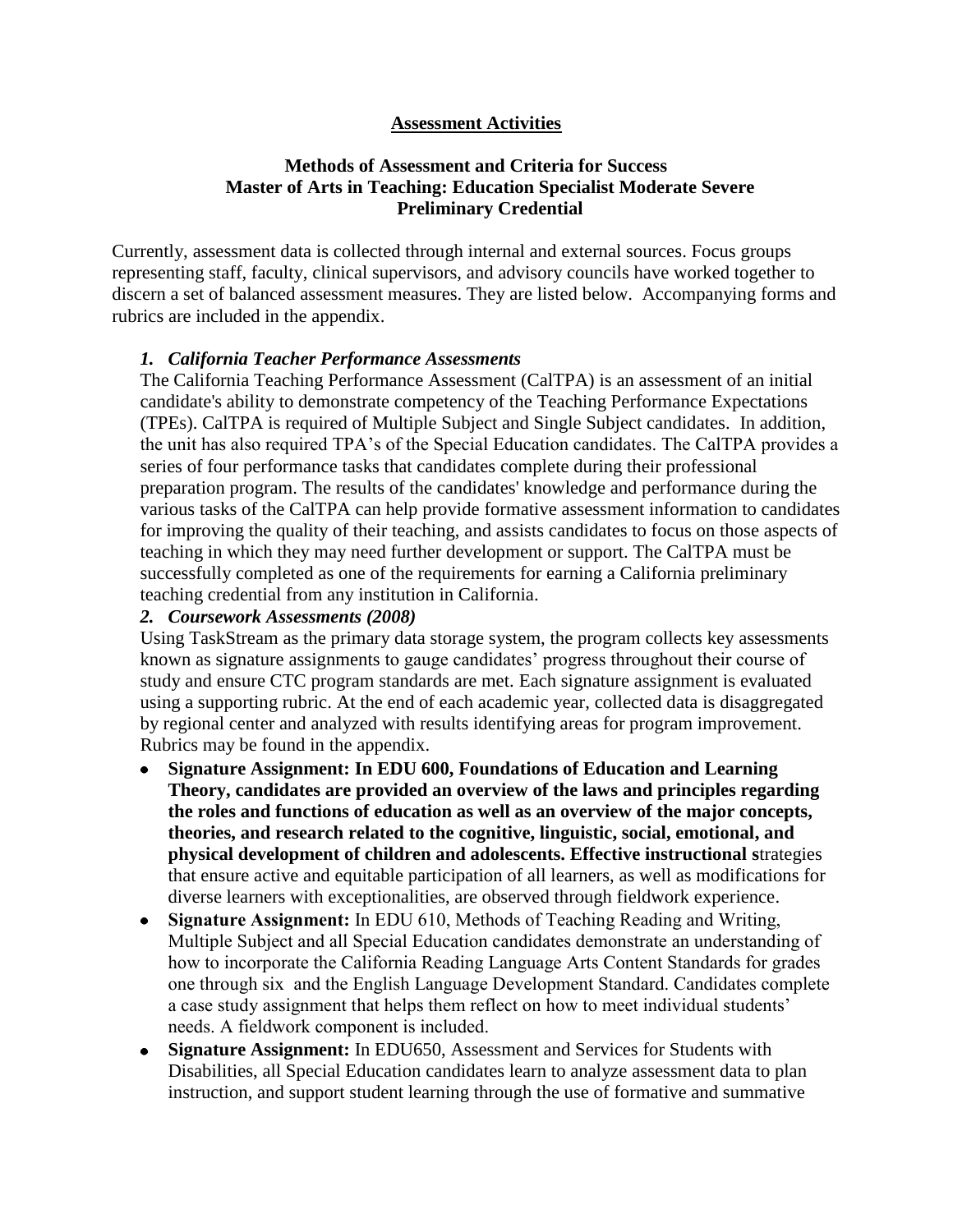## **Assessment Activities**

### **Methods of Assessment and Criteria for Success Master of Arts in Teaching: Education Specialist Moderate Severe Preliminary Credential**

Currently, assessment data is collected through internal and external sources. Focus groups representing staff, faculty, clinical supervisors, and advisory councils have worked together to discern a set of balanced assessment measures. They are listed below. Accompanying forms and rubrics are included in the appendix.

#### *1. California Teacher Performance Assessments*

The [California Teaching Performance Assessment \(CalTPA\)](https://portal.pointloma.edu/web/education/home/-/wiki/Main/Glossary) is an [assessment](https://portal.pointloma.edu/web/education/home/-/wiki/Main/Glossary) of an initial candidate's ability to demonstrate competency of the [Teaching Performance Expectations](https://portal.pointloma.edu/web/education/home/-/wiki/Main/TPES)  [\(TPEs\).](https://portal.pointloma.edu/web/education/home/-/wiki/Main/TPES) CalTPA is required of Multiple Subject and Single Subject candidates. In addition, the unit has also required TPA's of the Special Education candidates. The CalTPA provides a series of four performance tasks that candidates complete during their professional preparation program. The results of the candidates' knowledge and performance during the various tasks of the CalTPA can help provide formative assessment information to candidates for improving the quality of their teaching, and assists candidates to focus on those aspects of teaching in which they may need further development or support. The CalTPA must be successfully completed as one of the requirements for earning a California preliminary teaching credential from any institution in California.

#### *2. Coursework Assessments (2008)*

Using TaskStream as the primary data storage system, the program collects key assessments known as signature assignments to gauge candidates' progress throughout their course of study and ensure CTC program standards are met. Each signature assignment is evaluated using a supporting rubric. At the end of each academic year, collected data is disaggregated by regional center and analyzed with results identifying areas for program improvement. Rubrics may be found in the appendix.

- **Signature Assignment: In EDU 600, Foundations of Education and Learning**   $\bullet$ **Theory, candidates are provided an overview of the laws and principles regarding the roles and functions of education as well as an overview of the major concepts, theories, and research related to the cognitive, linguistic, social, emotional, and physical development of children and adolescents. Effective instructional s**trategies that ensure active and equitable participation of all learners, as well as modifications for diverse learners with exceptionalities, are observed through fieldwork experience.
- **Signature Assignment:** In EDU 610, Methods of Teaching Reading and Writing, Multiple Subject and all Special Education candidates demonstrate an understanding of how to incorporate the California Reading Language Arts Content Standards for grades one through six and the English Language Development Standard. Candidates complete a case study assignment that helps them reflect on how to meet individual students' needs. A fieldwork component is included.
- **Signature Assignment:** In EDU650, Assessment and Services for Students with Disabilities, all Special Education candidates learn to analyze assessment data to plan instruction, and support student learning through the use of formative and summative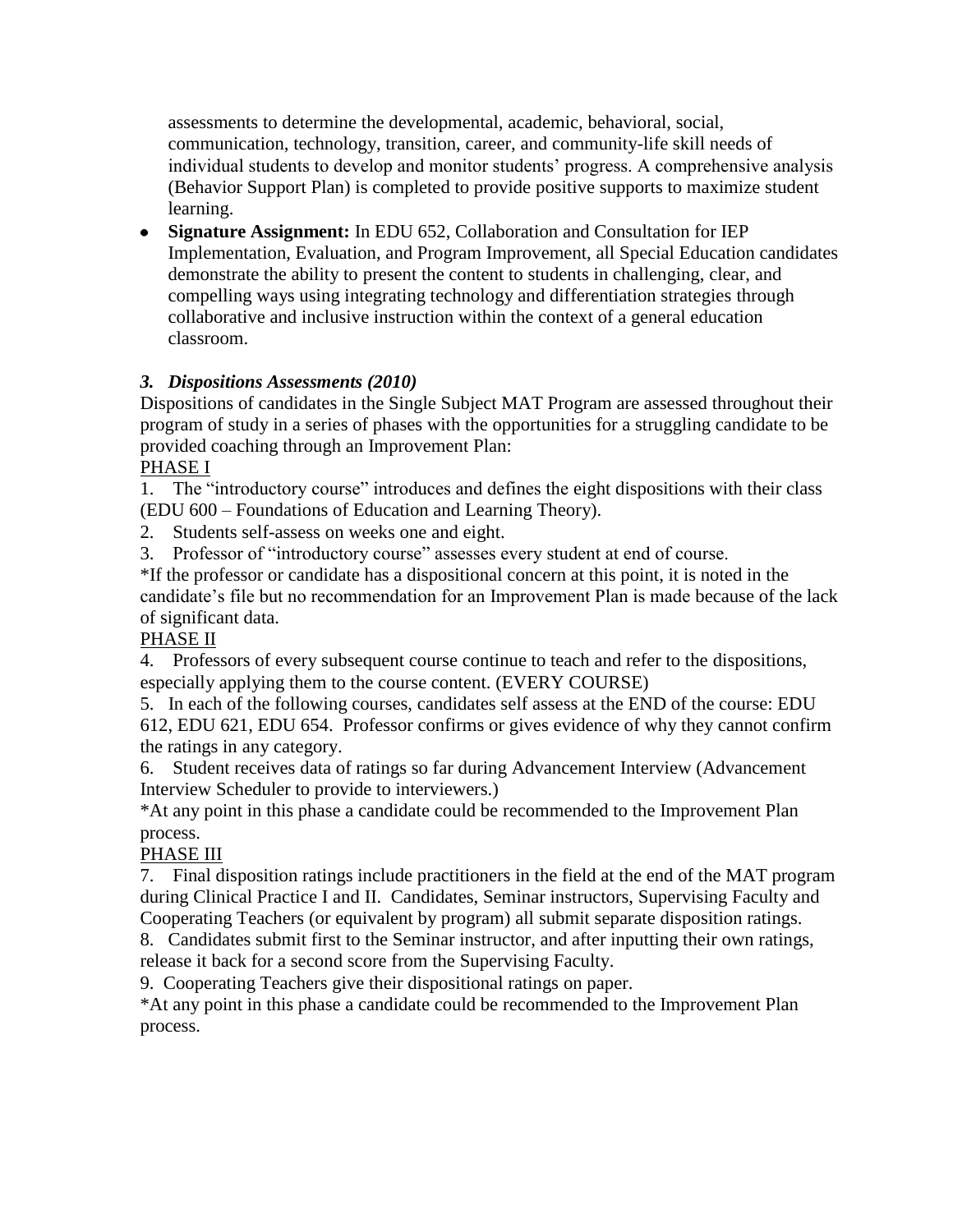assessments to determine the developmental, academic, behavioral, social, communication, technology, transition, career, and community-life skill needs of individual students to develop and monitor students' progress. A comprehensive analysis (Behavior Support Plan) is completed to provide positive supports to maximize student learning.

**Signature Assignment:** In EDU 652, Collaboration and Consultation for IEP Implementation, Evaluation, and Program Improvement, all Special Education candidates demonstrate the ability to present the content to students in challenging, clear, and compelling ways using integrating technology and differentiation strategies through collaborative and inclusive instruction within the context of a general education classroom.

# *3. Dispositions Assessments (2010)*

Dispositions of candidates in the Single Subject MAT Program are assessed throughout their program of study in a series of phases with the opportunities for a struggling candidate to be provided coaching through an Improvement Plan:

PHASE I

1. The "introductory course" introduces and defines the eight dispositions with their class (EDU 600 – Foundations of Education and Learning Theory).

2. Students self-assess on weeks one and eight.

3. Professor of "introductory course" assesses every student at end of course.

\*If the professor or candidate has a dispositional concern at this point, it is noted in the candidate's file but no recommendation for an Improvement Plan is made because of the lack of significant data.

# PHASE II

4. Professors of every subsequent course continue to teach and refer to the dispositions, especially applying them to the course content. (EVERY COURSE)

5. In each of the following courses, candidates self assess at the END of the course: EDU 612, EDU 621, EDU 654. Professor confirms or gives evidence of why they cannot confirm the ratings in any category.

6. Student receives data of ratings so far during Advancement Interview (Advancement Interview Scheduler to provide to interviewers.)

\*At any point in this phase a candidate could be recommended to the Improvement Plan process.

# PHASE III

7. Final disposition ratings include practitioners in the field at the end of the MAT program during Clinical Practice I and II. Candidates, Seminar instructors, Supervising Faculty and Cooperating Teachers (or equivalent by program) all submit separate disposition ratings.

8. Candidates submit first to the Seminar instructor, and after inputting their own ratings, release it back for a second score from the Supervising Faculty.

9. Cooperating Teachers give their dispositional ratings on paper.

\*At any point in this phase a candidate could be recommended to the Improvement Plan process.